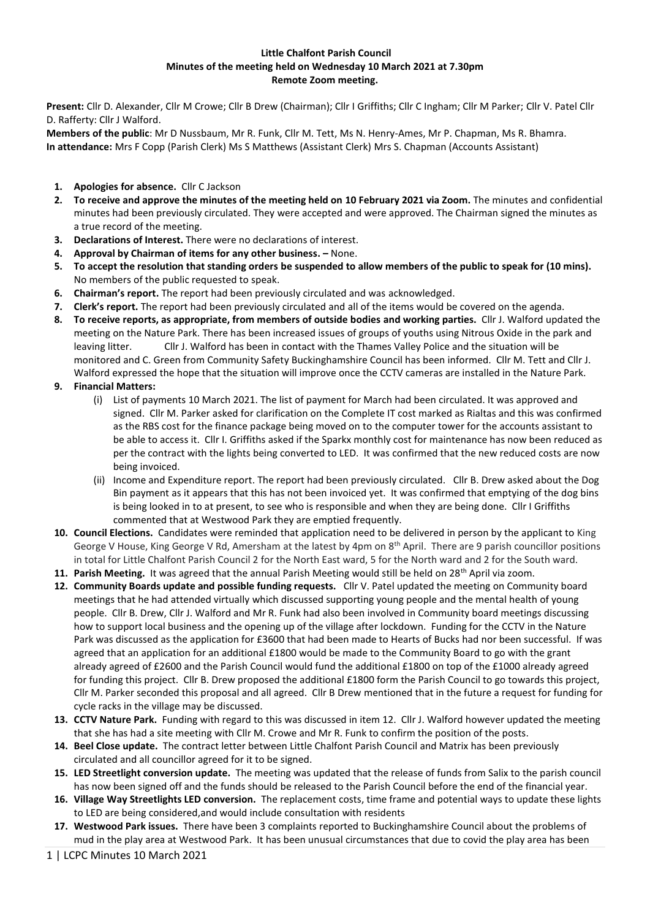## **Little Chalfont Parish Council Minutes of the meeting held on Wednesday 10 March 2021 at 7.30pm Remote Zoom meeting.**

**Present:** Cllr D. Alexander, Cllr M Crowe; Cllr B Drew (Chairman); Cllr I Griffiths; Cllr C Ingham; Cllr M Parker; Cllr V. Patel Cllr D. Rafferty: Cllr J Walford.

**Members of the public**: Mr D Nussbaum, Mr R. Funk, Cllr M. Tett, Ms N. Henry-Ames, Mr P. Chapman, Ms R. Bhamra. **In attendance:** Mrs F Copp (Parish Clerk) Ms S Matthews (Assistant Clerk) Mrs S. Chapman (Accounts Assistant)

- **1. Apologies for absence.** Cllr C Jackson
- **2. To receive and approve the minutes of the meeting held on 10 February 2021 via Zoom.** The minutes and confidential minutes had been previously circulated. They were accepted and were approved. The Chairman signed the minutes as a true record of the meeting.
- **3. Declarations of Interest.** There were no declarations of interest.
- **4. Approval by Chairman of items for any other business. –** None.
- **5. To accept the resolution that standing orders be suspended to allow members of the public to speak for (10 mins).** No members of the public requested to speak.
- **6. Chairman's report.** The report had been previously circulated and was acknowledged.
- **7. Clerk's report.** The report had been previously circulated and all of the items would be covered on the agenda.
- **8. To receive reports, as appropriate, from members of outside bodies and working parties.** Cllr J. Walford updated the meeting on the Nature Park. There has been increased issues of groups of youths using Nitrous Oxide in the park and leaving litter. Cllr J. Walford has been in contact with the Thames Valley Police and the situation will be monitored and C. Green from Community Safety Buckinghamshire Council has been informed. Cllr M. Tett and Cllr J. Walford expressed the hope that the situation will improve once the CCTV cameras are installed in the Nature Park.
- **9. Financial Matters:** 
	- (i) List of payments 10 March 2021. The list of payment for March had been circulated. It was approved and signed. Cllr M. Parker asked for clarification on the Complete IT cost marked as Rialtas and this was confirmed as the RBS cost for the finance package being moved on to the computer tower for the accounts assistant to be able to access it. Cllr I. Griffiths asked if the Sparkx monthly cost for maintenance has now been reduced as per the contract with the lights being converted to LED. It was confirmed that the new reduced costs are now being invoiced.
	- (ii) Income and Expenditure report. The report had been previously circulated. Cllr B. Drew asked about the Dog Bin payment as it appears that this has not been invoiced yet. It was confirmed that emptying of the dog bins is being looked in to at present, to see who is responsible and when they are being done. Cllr I Griffiths commented that at Westwood Park they are emptied frequently.
- **10. Council Elections.** Candidates were reminded that application need to be delivered in person by the applicant to King George V House, King George V Rd, Amersham at the latest by 4pm on 8<sup>th</sup> April. There are 9 parish councillor positions in total for Little Chalfont Parish Council 2 for the North East ward, 5 for the North ward and 2 for the South ward.
- 11. Parish Meeting. It was agreed that the annual Parish Meeting would still be held on 28<sup>th</sup> April via zoom.
- **12. Community Boards update and possible funding requests.** Cllr V. Patel updated the meeting on Community board meetings that he had attended virtually which discussed supporting young people and the mental health of young people. Cllr B. Drew, Cllr J. Walford and Mr R. Funk had also been involved in Community board meetings discussing how to support local business and the opening up of the village after lockdown. Funding for the CCTV in the Nature Park was discussed as the application for £3600 that had been made to Hearts of Bucks had nor been successful. If was agreed that an application for an additional £1800 would be made to the Community Board to go with the grant already agreed of £2600 and the Parish Council would fund the additional £1800 on top of the £1000 already agreed for funding this project. Cllr B. Drew proposed the additional £1800 form the Parish Council to go towards this project, Cllr M. Parker seconded this proposal and all agreed. Cllr B Drew mentioned that in the future a request for funding for cycle racks in the village may be discussed.
- **13. CCTV Nature Park.** Funding with regard to this was discussed in item 12. Cllr J. Walford however updated the meeting that she has had a site meeting with Cllr M. Crowe and Mr R. Funk to confirm the position of the posts.
- **14. Beel Close update.** The contract letter between Little Chalfont Parish Council and Matrix has been previously circulated and all councillor agreed for it to be signed.
- **15. LED Streetlight conversion update.** The meeting was updated that the release of funds from Salix to the parish council has now been signed off and the funds should be released to the Parish Council before the end of the financial year.
- **16. Village Way Streetlights LED conversion.** The replacement costs, time frame and potential ways to update these lights to LED are being considered,and would include consultation with residents
- **17. Westwood Park issues.** There have been 3 complaints reported to Buckinghamshire Council about the problems of mud in the play area at Westwood Park. It has been unusual circumstances that due to covid the play area has been